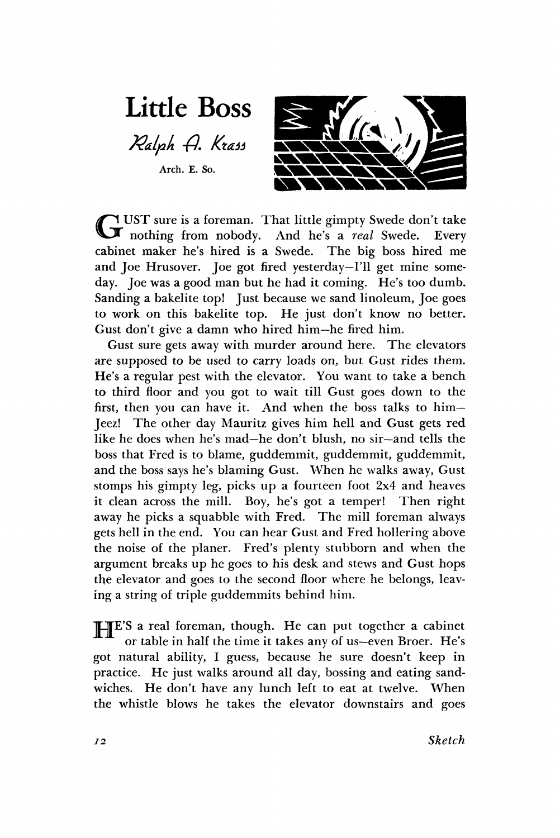**Little Boss** 

Ralph A. Krass

**Arch. E. So.** 



GUST sure is a foreman. That little gimpty Swede don't take nothing from nobody. And he's a *real* Swede. Every UST sure is a foreman. That little gimpty Swede don't take cabinet maker he's hired is a Swede. The big boss hired me and Joe Hrusover. Joe got fired yesterday—I'll get mine someday. Joe was a good man but he had it coming. He's too dumb. Sanding a bakelite top! Just because we sand linoleum, Joe goes to work on this bakelite top. He just don't know no better. Gust don't give a damn who hired him—he fired him.

Gust sure gets away with murder around here. The elevators are supposed to be used to carry loads on, but Gust rides them. He's a regular pest with the elevator. You want to take a bench to third floor and you got to wait till Gust goes down to the first, then you can have it. And when the boss talks to him— Jeez! The other day Mauritz gives him hell and Gust gets red like he does when he's mad—he don't blush, no sir—and tells the boss that Fred is to blame, guddemmit, guddemmit, guddemmit, and the boss says he's blaming Gust. When he walks away, Gust stomps his gimpty leg, picks up a fourteen foot 2x4 and heaves it clean across the mill. Boy, he's got a temper! Then right away he picks a squabble with Fred. The mill foreman always gets hell in the end. You can hear Gust and Fred hollering above the noise of the planer. Fred's plenty stubborn and when the argument breaks up he goes to his desk and stews and Gust hops the elevator and goes to the second floor where he belongs, leaving a string of triple guddemmits behind him.

TIE'S a real foreman, though. He can put together a cabinet or table in half the time it takes any of us—even Broer. He's got natural ability, I guess, because he sure doesn't keep in practice. He just walks around all day, bossing and eating sandwiches. He don't have any lunch left to eat at twelve. When the whistle blows he takes the elevator downstairs and goes